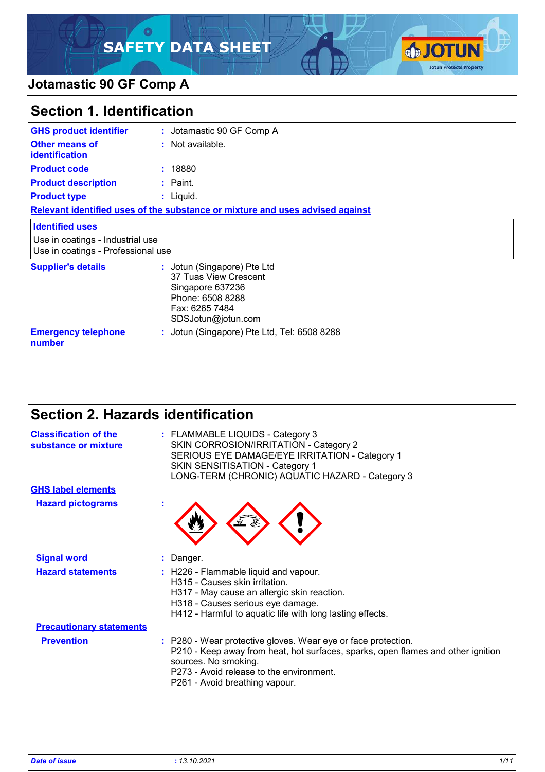### $\circ$ **SAFETY DATA SHEET**



### **Jotamastic 90 GF Comp A**

| <b>Section 1. Identification</b>                                       |                                                                                                                                      |  |
|------------------------------------------------------------------------|--------------------------------------------------------------------------------------------------------------------------------------|--|
| <b>GHS product identifier</b>                                          | : Jotamastic 90 GF Comp A                                                                                                            |  |
| Other means of<br><b>identification</b>                                | : Not available.                                                                                                                     |  |
| <b>Product code</b>                                                    | : 18880                                                                                                                              |  |
| <b>Product description</b>                                             | $:$ Paint.                                                                                                                           |  |
| <b>Product type</b>                                                    | $:$ Liquid.                                                                                                                          |  |
|                                                                        | Relevant identified uses of the substance or mixture and uses advised against                                                        |  |
| <b>Identified uses</b>                                                 |                                                                                                                                      |  |
| Use in coatings - Industrial use<br>Use in coatings - Professional use |                                                                                                                                      |  |
| <b>Supplier's details</b>                                              | : Jotun (Singapore) Pte Ltd<br>37 Tuas View Crescent<br>Singapore 637236<br>Phone: 6508 8288<br>Fax: 6265 7484<br>SDSJotun@jotun.com |  |
| <b>Emergency telephone</b><br>number                                   | : Jotun (Singapore) Pte Ltd, Tel: 6508 8288                                                                                          |  |

# **Section 2. Hazards identification**

| <b>Classification of the</b><br>substance or mixture | : FLAMMABLE LIQUIDS - Category 3<br>SKIN CORROSION/IRRITATION - Category 2<br>SERIOUS EYE DAMAGE/EYE IRRITATION - Category 1<br><b>SKIN SENSITISATION - Category 1</b><br>LONG-TERM (CHRONIC) AQUATIC HAZARD - Category 3                               |
|------------------------------------------------------|---------------------------------------------------------------------------------------------------------------------------------------------------------------------------------------------------------------------------------------------------------|
| <b>GHS label elements</b>                            |                                                                                                                                                                                                                                                         |
| <b>Hazard pictograms</b>                             |                                                                                                                                                                                                                                                         |
| <b>Signal word</b>                                   | : Danger.                                                                                                                                                                                                                                               |
| <b>Hazard statements</b>                             | : H226 - Flammable liquid and vapour.<br>H315 - Causes skin irritation.<br>H317 - May cause an allergic skin reaction.<br>H318 - Causes serious eye damage.<br>H412 - Harmful to aquatic life with long lasting effects.                                |
| <b>Precautionary statements</b>                      |                                                                                                                                                                                                                                                         |
| <b>Prevention</b>                                    | : P280 - Wear protective gloves. Wear eye or face protection.<br>P210 - Keep away from heat, hot surfaces, sparks, open flames and other ignition<br>sources. No smoking.<br>P273 - Avoid release to the environment.<br>P261 - Avoid breathing vapour. |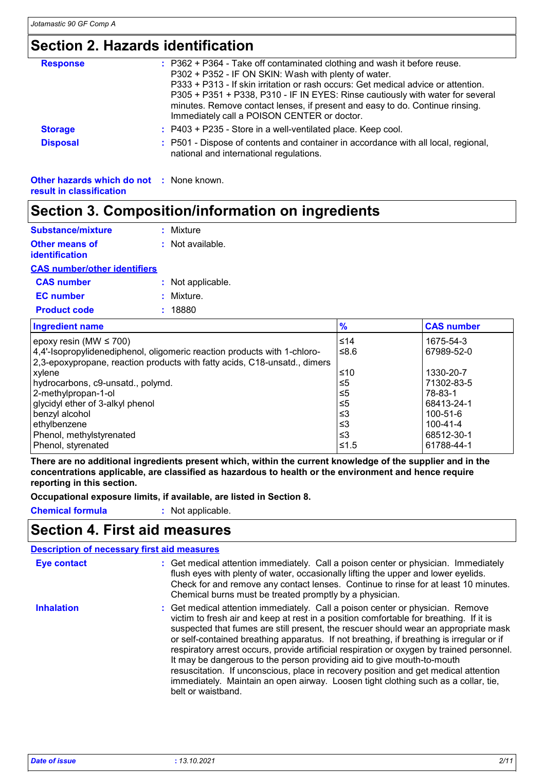## **Section 2. Hazards identification**

| <b>Response</b>                                                             | : P362 + P364 - Take off contaminated clothing and wash it before reuse.<br>P302 + P352 - IF ON SKIN: Wash with plenty of water.<br>P333 + P313 - If skin irritation or rash occurs: Get medical advice or attention.<br>P305 + P351 + P338, P310 - IF IN EYES: Rinse cautiously with water for several<br>minutes. Remove contact lenses, if present and easy to do. Continue rinsing.<br>Immediately call a POISON CENTER or doctor. |
|-----------------------------------------------------------------------------|----------------------------------------------------------------------------------------------------------------------------------------------------------------------------------------------------------------------------------------------------------------------------------------------------------------------------------------------------------------------------------------------------------------------------------------|
| <b>Storage</b>                                                              | $:$ P403 + P235 - Store in a well-ventilated place. Keep cool.                                                                                                                                                                                                                                                                                                                                                                         |
| <b>Disposal</b>                                                             | : P501 - Dispose of contents and container in accordance with all local, regional,<br>national and international regulations.                                                                                                                                                                                                                                                                                                          |
| <b>Other hazards which do not : None known.</b><br>result in classification |                                                                                                                                                                                                                                                                                                                                                                                                                                        |

# **Section 3. Composition/information on ingredients**

| <b>Substance/mixture</b>                       | $:$ Mixture                                                                                                                                           |                |                         |
|------------------------------------------------|-------------------------------------------------------------------------------------------------------------------------------------------------------|----------------|-------------------------|
| <b>Other means of</b><br><b>identification</b> | : Not available.                                                                                                                                      |                |                         |
| <b>CAS number/other identifiers</b>            |                                                                                                                                                       |                |                         |
| <b>CAS number</b>                              | : Not applicable.                                                                                                                                     |                |                         |
| <b>EC</b> number                               | : Mixture.                                                                                                                                            |                |                         |
| <b>Product code</b>                            | : 18880                                                                                                                                               |                |                         |
| <b>Ingredient name</b>                         |                                                                                                                                                       | $\frac{9}{6}$  | <b>CAS number</b>       |
| epoxy resin (MW $\leq$ 700)                    | 4.4'-Isopropylidenediphenol, oligomeric reaction products with 1-chloro-<br>2,3-epoxypropane, reaction products with fatty acids, C18-unsatd., dimers | ≤14<br>≤ $8.6$ | 1675-54-3<br>67989-52-0 |
| xylene                                         |                                                                                                                                                       | ≤10            | 1330-20-7               |
| hydrocarbons, c9-unsatd., polymd.              |                                                                                                                                                       | ≤5             | 71302-83-5              |
| 2-methylpropan-1-ol                            |                                                                                                                                                       | ≤5             | 78-83-1                 |
| glycidyl ether of 3-alkyl phenol               |                                                                                                                                                       | ≤5             | 68413-24-1              |
| benzyl alcohol                                 |                                                                                                                                                       | $\leq$ 3       | 100-51-6                |
| ethylbenzene                                   |                                                                                                                                                       | $\leq$ 3       | 100-41-4                |
| Phenol, methylstyrenated                       |                                                                                                                                                       | $\leq$ 3       | 68512-30-1              |
| Phenol, styrenated                             |                                                                                                                                                       | ≤1.5           | 61788-44-1              |

**There are no additional ingredients present which, within the current knowledge of the supplier and in the concentrations applicable, are classified as hazardous to health or the environment and hence require reporting in this section.**

**Occupational exposure limits, if available, are listed in Section 8.**

**Chemical formula :** Not applicable.

### **Section 4. First aid measures**

|                    | <b>Description of necessary first aid measures</b>                                                                                                                                                                                                                                                                                                                                                                                                                                                                                                                                                                                                                                                                                    |
|--------------------|---------------------------------------------------------------------------------------------------------------------------------------------------------------------------------------------------------------------------------------------------------------------------------------------------------------------------------------------------------------------------------------------------------------------------------------------------------------------------------------------------------------------------------------------------------------------------------------------------------------------------------------------------------------------------------------------------------------------------------------|
| <b>Eye contact</b> | : Get medical attention immediately. Call a poison center or physician. Immediately<br>flush eyes with plenty of water, occasionally lifting the upper and lower eyelids.<br>Check for and remove any contact lenses. Continue to rinse for at least 10 minutes.<br>Chemical burns must be treated promptly by a physician.                                                                                                                                                                                                                                                                                                                                                                                                           |
| <b>Inhalation</b>  | : Get medical attention immediately. Call a poison center or physician. Remove<br>victim to fresh air and keep at rest in a position comfortable for breathing. If it is<br>suspected that fumes are still present, the rescuer should wear an appropriate mask<br>or self-contained breathing apparatus. If not breathing, if breathing is irregular or if<br>respiratory arrest occurs, provide artificial respiration or oxygen by trained personnel.<br>It may be dangerous to the person providing aid to give mouth-to-mouth<br>resuscitation. If unconscious, place in recovery position and get medical attention<br>immediately. Maintain an open airway. Loosen tight clothing such as a collar, tie,<br>belt or waistband. |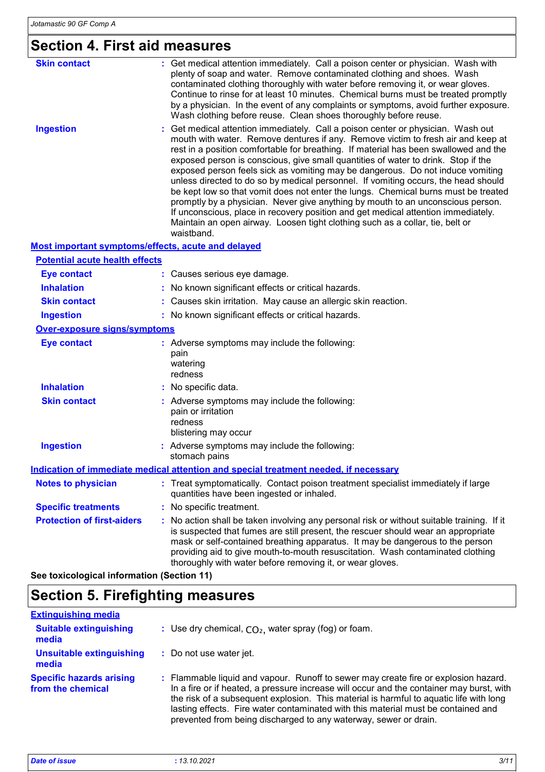# **Section 4. First aid measures**

| <b>Skin contact</b>                                | : Get medical attention immediately. Call a poison center or physician. Wash with<br>plenty of soap and water. Remove contaminated clothing and shoes. Wash<br>contaminated clothing thoroughly with water before removing it, or wear gloves.<br>Continue to rinse for at least 10 minutes. Chemical burns must be treated promptly<br>by a physician. In the event of any complaints or symptoms, avoid further exposure.<br>Wash clothing before reuse. Clean shoes thoroughly before reuse.                                                                                                                                                                                                                                                                                                                                                                                      |
|----------------------------------------------------|--------------------------------------------------------------------------------------------------------------------------------------------------------------------------------------------------------------------------------------------------------------------------------------------------------------------------------------------------------------------------------------------------------------------------------------------------------------------------------------------------------------------------------------------------------------------------------------------------------------------------------------------------------------------------------------------------------------------------------------------------------------------------------------------------------------------------------------------------------------------------------------|
| <b>Ingestion</b>                                   | Get medical attention immediately. Call a poison center or physician. Wash out<br>mouth with water. Remove dentures if any. Remove victim to fresh air and keep at<br>rest in a position comfortable for breathing. If material has been swallowed and the<br>exposed person is conscious, give small quantities of water to drink. Stop if the<br>exposed person feels sick as vomiting may be dangerous. Do not induce vomiting<br>unless directed to do so by medical personnel. If vomiting occurs, the head should<br>be kept low so that vomit does not enter the lungs. Chemical burns must be treated<br>promptly by a physician. Never give anything by mouth to an unconscious person.<br>If unconscious, place in recovery position and get medical attention immediately.<br>Maintain an open airway. Loosen tight clothing such as a collar, tie, belt or<br>waistband. |
| Most important symptoms/effects, acute and delayed |                                                                                                                                                                                                                                                                                                                                                                                                                                                                                                                                                                                                                                                                                                                                                                                                                                                                                      |
| <b>Potential acute health effects</b>              |                                                                                                                                                                                                                                                                                                                                                                                                                                                                                                                                                                                                                                                                                                                                                                                                                                                                                      |
| <b>Eye contact</b>                                 | : Causes serious eye damage.                                                                                                                                                                                                                                                                                                                                                                                                                                                                                                                                                                                                                                                                                                                                                                                                                                                         |
| <b>Inhalation</b>                                  | No known significant effects or critical hazards.                                                                                                                                                                                                                                                                                                                                                                                                                                                                                                                                                                                                                                                                                                                                                                                                                                    |
| <b>Skin contact</b>                                | Causes skin irritation. May cause an allergic skin reaction.                                                                                                                                                                                                                                                                                                                                                                                                                                                                                                                                                                                                                                                                                                                                                                                                                         |
| <b>Ingestion</b>                                   | : No known significant effects or critical hazards.                                                                                                                                                                                                                                                                                                                                                                                                                                                                                                                                                                                                                                                                                                                                                                                                                                  |
| <b>Over-exposure signs/symptoms</b>                |                                                                                                                                                                                                                                                                                                                                                                                                                                                                                                                                                                                                                                                                                                                                                                                                                                                                                      |
| <b>Eye contact</b>                                 | : Adverse symptoms may include the following:<br>pain<br>watering<br>redness                                                                                                                                                                                                                                                                                                                                                                                                                                                                                                                                                                                                                                                                                                                                                                                                         |
| <b>Inhalation</b>                                  | No specific data.                                                                                                                                                                                                                                                                                                                                                                                                                                                                                                                                                                                                                                                                                                                                                                                                                                                                    |
| <b>Skin contact</b>                                | : Adverse symptoms may include the following:<br>pain or irritation<br>redness<br>blistering may occur                                                                                                                                                                                                                                                                                                                                                                                                                                                                                                                                                                                                                                                                                                                                                                               |
| <b>Ingestion</b>                                   | : Adverse symptoms may include the following:<br>stomach pains                                                                                                                                                                                                                                                                                                                                                                                                                                                                                                                                                                                                                                                                                                                                                                                                                       |
|                                                    | <b>Indication of immediate medical attention and special treatment needed, if necessary</b>                                                                                                                                                                                                                                                                                                                                                                                                                                                                                                                                                                                                                                                                                                                                                                                          |
| <b>Notes to physician</b>                          | : Treat symptomatically. Contact poison treatment specialist immediately if large<br>quantities have been ingested or inhaled.                                                                                                                                                                                                                                                                                                                                                                                                                                                                                                                                                                                                                                                                                                                                                       |
| <b>Specific treatments</b>                         | : No specific treatment.                                                                                                                                                                                                                                                                                                                                                                                                                                                                                                                                                                                                                                                                                                                                                                                                                                                             |
| <b>Protection of first-aiders</b>                  | : No action shall be taken involving any personal risk or without suitable training. If it<br>is suspected that fumes are still present, the rescuer should wear an appropriate<br>mask or self-contained breathing apparatus. It may be dangerous to the person<br>providing aid to give mouth-to-mouth resuscitation. Wash contaminated clothing<br>thoroughly with water before removing it, or wear gloves.                                                                                                                                                                                                                                                                                                                                                                                                                                                                      |

**See toxicological information (Section 11)**

## **Section 5. Firefighting measures**

| <b>Extinguishing media</b>                           |                                                                                                                                                                                                                                                                                                                                                                                                                                    |
|------------------------------------------------------|------------------------------------------------------------------------------------------------------------------------------------------------------------------------------------------------------------------------------------------------------------------------------------------------------------------------------------------------------------------------------------------------------------------------------------|
| <b>Suitable extinguishing</b><br>media               | : Use dry chemical, $CO2$ , water spray (fog) or foam.                                                                                                                                                                                                                                                                                                                                                                             |
| Unsuitable extinguishing<br>media                    | : Do not use water jet.                                                                                                                                                                                                                                                                                                                                                                                                            |
| <b>Specific hazards arising</b><br>from the chemical | : Flammable liquid and vapour. Runoff to sewer may create fire or explosion hazard.<br>In a fire or if heated, a pressure increase will occur and the container may burst, with<br>the risk of a subsequent explosion. This material is harmful to aquatic life with long<br>lasting effects. Fire water contaminated with this material must be contained and<br>prevented from being discharged to any waterway, sewer or drain. |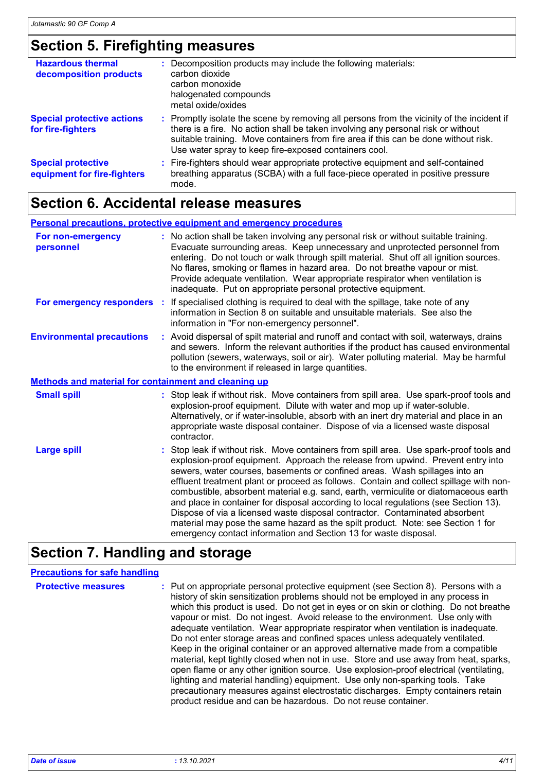# **Section 5. Firefighting measures**

| <b>Hazardous thermal</b><br>decomposition products       | Decomposition products may include the following materials:<br>carbon dioxide<br>carbon monoxide<br>halogenated compounds<br>metal oxide/oxides                                                                                                                                                                               |
|----------------------------------------------------------|-------------------------------------------------------------------------------------------------------------------------------------------------------------------------------------------------------------------------------------------------------------------------------------------------------------------------------|
| <b>Special protective actions</b><br>for fire-fighters   | : Promptly isolate the scene by removing all persons from the vicinity of the incident if<br>there is a fire. No action shall be taken involving any personal risk or without<br>suitable training. Move containers from fire area if this can be done without risk.<br>Use water spray to keep fire-exposed containers cool. |
| <b>Special protective</b><br>equipment for fire-fighters | : Fire-fighters should wear appropriate protective equipment and self-contained<br>breathing apparatus (SCBA) with a full face-piece operated in positive pressure<br>mode.                                                                                                                                                   |

# **Section 6. Accidental release measures**

|                                                      | <b>Personal precautions, protective equipment and emergency procedures</b>                                                                                                                                                                                                                                                                                                                                                                                                                                                                                                                                                                                                                                                                                              |
|------------------------------------------------------|-------------------------------------------------------------------------------------------------------------------------------------------------------------------------------------------------------------------------------------------------------------------------------------------------------------------------------------------------------------------------------------------------------------------------------------------------------------------------------------------------------------------------------------------------------------------------------------------------------------------------------------------------------------------------------------------------------------------------------------------------------------------------|
| For non-emergency<br>personnel                       | : No action shall be taken involving any personal risk or without suitable training.<br>Evacuate surrounding areas. Keep unnecessary and unprotected personnel from<br>entering. Do not touch or walk through spilt material. Shut off all ignition sources.<br>No flares, smoking or flames in hazard area. Do not breathe vapour or mist.<br>Provide adequate ventilation. Wear appropriate respirator when ventilation is<br>inadequate. Put on appropriate personal protective equipment.                                                                                                                                                                                                                                                                           |
| For emergency responders :                           | If specialised clothing is required to deal with the spillage, take note of any<br>information in Section 8 on suitable and unsuitable materials. See also the<br>information in "For non-emergency personnel".                                                                                                                                                                                                                                                                                                                                                                                                                                                                                                                                                         |
| <b>Environmental precautions</b>                     | : Avoid dispersal of spilt material and runoff and contact with soil, waterways, drains<br>and sewers. Inform the relevant authorities if the product has caused environmental<br>pollution (sewers, waterways, soil or air). Water polluting material. May be harmful<br>to the environment if released in large quantities.                                                                                                                                                                                                                                                                                                                                                                                                                                           |
| Methods and material for containment and cleaning up |                                                                                                                                                                                                                                                                                                                                                                                                                                                                                                                                                                                                                                                                                                                                                                         |
| <b>Small spill</b>                                   | : Stop leak if without risk. Move containers from spill area. Use spark-proof tools and<br>explosion-proof equipment. Dilute with water and mop up if water-soluble.<br>Alternatively, or if water-insoluble, absorb with an inert dry material and place in an<br>appropriate waste disposal container. Dispose of via a licensed waste disposal<br>contractor.                                                                                                                                                                                                                                                                                                                                                                                                        |
| <b>Large spill</b>                                   | : Stop leak if without risk. Move containers from spill area. Use spark-proof tools and<br>explosion-proof equipment. Approach the release from upwind. Prevent entry into<br>sewers, water courses, basements or confined areas. Wash spillages into an<br>effluent treatment plant or proceed as follows. Contain and collect spillage with non-<br>combustible, absorbent material e.g. sand, earth, vermiculite or diatomaceous earth<br>and place in container for disposal according to local regulations (see Section 13).<br>Dispose of via a licensed waste disposal contractor. Contaminated absorbent<br>material may pose the same hazard as the spilt product. Note: see Section 1 for<br>emergency contact information and Section 13 for waste disposal. |

# **Section 7. Handling and storage**

| <b>Precautions for safe handling</b> |                                                                                                                                                                                                                                                                                                                                                                                                                                                                                                                                                                                                                                                                                                                                                                                                                                                                                                                                                                                                                                 |
|--------------------------------------|---------------------------------------------------------------------------------------------------------------------------------------------------------------------------------------------------------------------------------------------------------------------------------------------------------------------------------------------------------------------------------------------------------------------------------------------------------------------------------------------------------------------------------------------------------------------------------------------------------------------------------------------------------------------------------------------------------------------------------------------------------------------------------------------------------------------------------------------------------------------------------------------------------------------------------------------------------------------------------------------------------------------------------|
| <b>Protective measures</b>           | : Put on appropriate personal protective equipment (see Section 8). Persons with a<br>history of skin sensitization problems should not be employed in any process in<br>which this product is used. Do not get in eyes or on skin or clothing. Do not breathe<br>vapour or mist. Do not ingest. Avoid release to the environment. Use only with<br>adequate ventilation. Wear appropriate respirator when ventilation is inadequate.<br>Do not enter storage areas and confined spaces unless adequately ventilated.<br>Keep in the original container or an approved alternative made from a compatible<br>material, kept tightly closed when not in use. Store and use away from heat, sparks,<br>open flame or any other ignition source. Use explosion-proof electrical (ventilating,<br>lighting and material handling) equipment. Use only non-sparking tools. Take<br>precautionary measures against electrostatic discharges. Empty containers retain<br>product residue and can be hazardous. Do not reuse container. |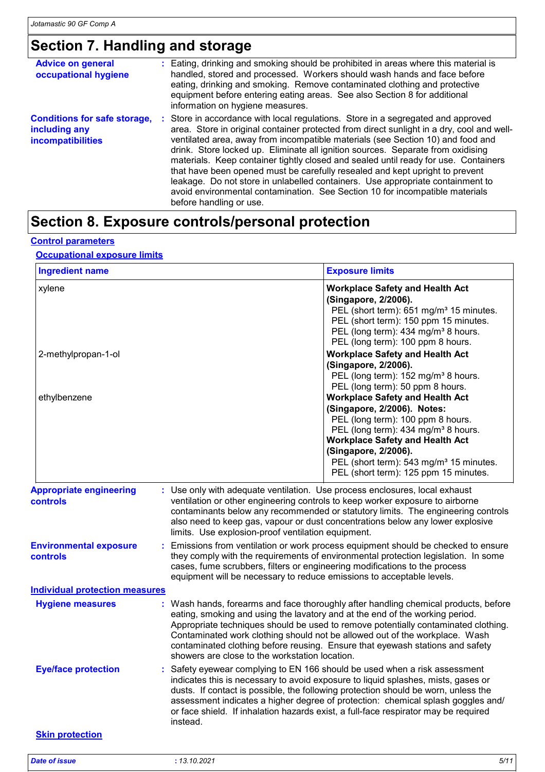## **Section 7. Handling and storage**

| <b>Advice on general</b><br>occupational hygiene                                 | : Eating, drinking and smoking should be prohibited in areas where this material is<br>handled, stored and processed. Workers should wash hands and face before<br>eating, drinking and smoking. Remove contaminated clothing and protective<br>equipment before entering eating areas. See also Section 8 for additional<br>information on hygiene measures.                                                                                                                                                                                                                                                                                                                                                           |
|----------------------------------------------------------------------------------|-------------------------------------------------------------------------------------------------------------------------------------------------------------------------------------------------------------------------------------------------------------------------------------------------------------------------------------------------------------------------------------------------------------------------------------------------------------------------------------------------------------------------------------------------------------------------------------------------------------------------------------------------------------------------------------------------------------------------|
| <b>Conditions for safe storage,</b><br>including any<br><b>incompatibilities</b> | : Store in accordance with local regulations. Store in a segregated and approved<br>area. Store in original container protected from direct sunlight in a dry, cool and well-<br>ventilated area, away from incompatible materials (see Section 10) and food and<br>drink. Store locked up. Eliminate all ignition sources. Separate from oxidising<br>materials. Keep container tightly closed and sealed until ready for use. Containers<br>that have been opened must be carefully resealed and kept upright to prevent<br>leakage. Do not store in unlabelled containers. Use appropriate containment to<br>avoid environmental contamination. See Section 10 for incompatible materials<br>before handling or use. |

# **Section 8. Exposure controls/personal protection**

#### **Control parameters**

#### **Occupational exposure limits**

| <b>Ingredient name</b>                            |                                                                                                                                                                                                                                                                                                                                                                                                                                                                             | <b>Exposure limits</b>                                                                                                                                                                                                                                                                                                                                              |  |
|---------------------------------------------------|-----------------------------------------------------------------------------------------------------------------------------------------------------------------------------------------------------------------------------------------------------------------------------------------------------------------------------------------------------------------------------------------------------------------------------------------------------------------------------|---------------------------------------------------------------------------------------------------------------------------------------------------------------------------------------------------------------------------------------------------------------------------------------------------------------------------------------------------------------------|--|
| xylene                                            |                                                                                                                                                                                                                                                                                                                                                                                                                                                                             | <b>Workplace Safety and Health Act</b><br>(Singapore, 2/2006).<br>PEL (short term): 651 mg/m <sup>3</sup> 15 minutes.<br>PEL (short term): 150 ppm 15 minutes.<br>PEL (long term): 434 mg/m <sup>3</sup> 8 hours.<br>PEL (long term): 100 ppm 8 hours.                                                                                                              |  |
| 2-methylpropan-1-ol                               |                                                                                                                                                                                                                                                                                                                                                                                                                                                                             | <b>Workplace Safety and Health Act</b><br>(Singapore, 2/2006).<br>PEL (long term): 152 mg/m <sup>3</sup> 8 hours.                                                                                                                                                                                                                                                   |  |
| ethylbenzene                                      |                                                                                                                                                                                                                                                                                                                                                                                                                                                                             | PEL (long term): 50 ppm 8 hours.<br><b>Workplace Safety and Health Act</b><br>(Singapore, 2/2006). Notes:<br>PEL (long term): 100 ppm 8 hours.<br>PEL (long term): 434 mg/m <sup>3</sup> 8 hours.<br><b>Workplace Safety and Health Act</b><br>(Singapore, 2/2006).<br>PEL (short term): 543 mg/m <sup>3</sup> 15 minutes.<br>PEL (short term): 125 ppm 15 minutes. |  |
| <b>Appropriate engineering</b><br><b>controls</b> | : Use only with adequate ventilation. Use process enclosures, local exhaust<br>ventilation or other engineering controls to keep worker exposure to airborne<br>contaminants below any recommended or statutory limits. The engineering controls<br>also need to keep gas, vapour or dust concentrations below any lower explosive<br>limits. Use explosion-proof ventilation equipment.                                                                                    |                                                                                                                                                                                                                                                                                                                                                                     |  |
| <b>Environmental exposure</b><br>controls         | : Emissions from ventilation or work process equipment should be checked to ensure<br>they comply with the requirements of environmental protection legislation. In some<br>cases, fume scrubbers, filters or engineering modifications to the process<br>equipment will be necessary to reduce emissions to acceptable levels.                                                                                                                                             |                                                                                                                                                                                                                                                                                                                                                                     |  |
| <b>Individual protection measures</b>             |                                                                                                                                                                                                                                                                                                                                                                                                                                                                             |                                                                                                                                                                                                                                                                                                                                                                     |  |
| <b>Hygiene measures</b>                           | : Wash hands, forearms and face thoroughly after handling chemical products, before<br>eating, smoking and using the lavatory and at the end of the working period.<br>Appropriate techniques should be used to remove potentially contaminated clothing.<br>Contaminated work clothing should not be allowed out of the workplace. Wash<br>contaminated clothing before reusing. Ensure that eyewash stations and safety<br>showers are close to the workstation location. |                                                                                                                                                                                                                                                                                                                                                                     |  |
| <b>Eye/face protection</b>                        | Safety eyewear complying to EN 166 should be used when a risk assessment<br>indicates this is necessary to avoid exposure to liquid splashes, mists, gases or<br>dusts. If contact is possible, the following protection should be worn, unless the<br>assessment indicates a higher degree of protection: chemical splash goggles and/<br>or face shield. If inhalation hazards exist, a full-face respirator may be required<br>instead.                                  |                                                                                                                                                                                                                                                                                                                                                                     |  |
| <b>Skin protection</b>                            |                                                                                                                                                                                                                                                                                                                                                                                                                                                                             |                                                                                                                                                                                                                                                                                                                                                                     |  |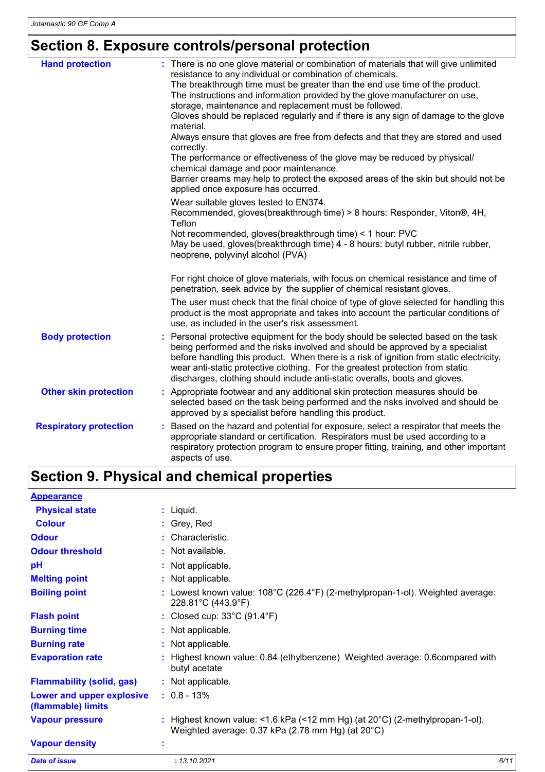## **Section 8. Exposure controls/personal protection**

| <b>Hand protection</b>        | : There is no one glove material or combination of materials that will give unlimited<br>resistance to any individual or combination of chemicals.<br>The breakthrough time must be greater than the end use time of the product.<br>The instructions and information provided by the glove manufacturer on use,<br>storage, maintenance and replacement must be followed.<br>Gloves should be replaced regularly and if there is any sign of damage to the glove<br>material.<br>Always ensure that gloves are free from defects and that they are stored and used<br>correctly.<br>The performance or effectiveness of the glove may be reduced by physical/<br>chemical damage and poor maintenance.<br>Barrier creams may help to protect the exposed areas of the skin but should not be<br>applied once exposure has occurred.<br>Wear suitable gloves tested to EN374.<br>Recommended, gloves(breakthrough time) > 8 hours: Responder, Viton®, 4H,<br>Teflon<br>Not recommended, gloves(breakthrough time) < 1 hour: PVC<br>May be used, gloves(breakthrough time) 4 - 8 hours: butyl rubber, nitrile rubber,<br>neoprene, polyvinyl alcohol (PVA) |
|-------------------------------|-----------------------------------------------------------------------------------------------------------------------------------------------------------------------------------------------------------------------------------------------------------------------------------------------------------------------------------------------------------------------------------------------------------------------------------------------------------------------------------------------------------------------------------------------------------------------------------------------------------------------------------------------------------------------------------------------------------------------------------------------------------------------------------------------------------------------------------------------------------------------------------------------------------------------------------------------------------------------------------------------------------------------------------------------------------------------------------------------------------------------------------------------------------|
|                               | For right choice of glove materials, with focus on chemical resistance and time of<br>penetration, seek advice by the supplier of chemical resistant gloves.                                                                                                                                                                                                                                                                                                                                                                                                                                                                                                                                                                                                                                                                                                                                                                                                                                                                                                                                                                                              |
|                               | The user must check that the final choice of type of glove selected for handling this<br>product is the most appropriate and takes into account the particular conditions of<br>use, as included in the user's risk assessment.                                                                                                                                                                                                                                                                                                                                                                                                                                                                                                                                                                                                                                                                                                                                                                                                                                                                                                                           |
| <b>Body protection</b>        | Personal protective equipment for the body should be selected based on the task<br>being performed and the risks involved and should be approved by a specialist<br>before handling this product. When there is a risk of ignition from static electricity,<br>wear anti-static protective clothing. For the greatest protection from static<br>discharges, clothing should include anti-static overalls, boots and gloves.                                                                                                                                                                                                                                                                                                                                                                                                                                                                                                                                                                                                                                                                                                                               |
| <b>Other skin protection</b>  | Appropriate footwear and any additional skin protection measures should be<br>selected based on the task being performed and the risks involved and should be<br>approved by a specialist before handling this product.                                                                                                                                                                                                                                                                                                                                                                                                                                                                                                                                                                                                                                                                                                                                                                                                                                                                                                                                   |
| <b>Respiratory protection</b> | : Based on the hazard and potential for exposure, select a respirator that meets the<br>appropriate standard or certification. Respirators must be used according to a<br>respiratory protection program to ensure proper fitting, training, and other important<br>aspects of use.                                                                                                                                                                                                                                                                                                                                                                                                                                                                                                                                                                                                                                                                                                                                                                                                                                                                       |

# **Section 9. Physical and chemical properties**

| <b>Appearance</b>                               |   |                                                                                                                                             |      |
|-------------------------------------------------|---|---------------------------------------------------------------------------------------------------------------------------------------------|------|
| <b>Physical state</b>                           |   | : Liquid.                                                                                                                                   |      |
| <b>Colour</b>                                   |   | : Grey, Red                                                                                                                                 |      |
| <b>Odour</b>                                    |   | : Characteristic.                                                                                                                           |      |
| <b>Odour threshold</b>                          |   | : Not available.                                                                                                                            |      |
| pH                                              |   | : Not applicable.                                                                                                                           |      |
| <b>Melting point</b>                            |   | : Not applicable.                                                                                                                           |      |
| <b>Boiling point</b>                            |   | Lowest known value: 108°C (226.4°F) (2-methylpropan-1-ol). Weighted average:<br>228.81°C (443.9°F)                                          |      |
| <b>Flash point</b>                              |   | : Closed cup: $33^{\circ}$ C (91.4 $^{\circ}$ F)                                                                                            |      |
| <b>Burning time</b>                             |   | : Not applicable.                                                                                                                           |      |
| <b>Burning rate</b>                             |   | : Not applicable.                                                                                                                           |      |
| <b>Evaporation rate</b>                         | ÷ | Highest known value: 0.84 (ethylbenzene) Weighted average: 0.6compared with<br>butyl acetate                                                |      |
| <b>Flammability (solid, gas)</b>                |   | : Not applicable.                                                                                                                           |      |
| Lower and upper explosive<br>(flammable) limits |   | $: 0.8 - 13\%$                                                                                                                              |      |
| <b>Vapour pressure</b>                          |   | : Highest known value: <1.6 kPa (<12 mm Hg) (at $20^{\circ}$ C) (2-methylpropan-1-ol).<br>Weighted average: 0.37 kPa (2.78 mm Hg) (at 20°C) |      |
| <b>Vapour density</b>                           | t |                                                                                                                                             |      |
| <b>Date of issue</b>                            |   | : 13.10.2021                                                                                                                                | 6/11 |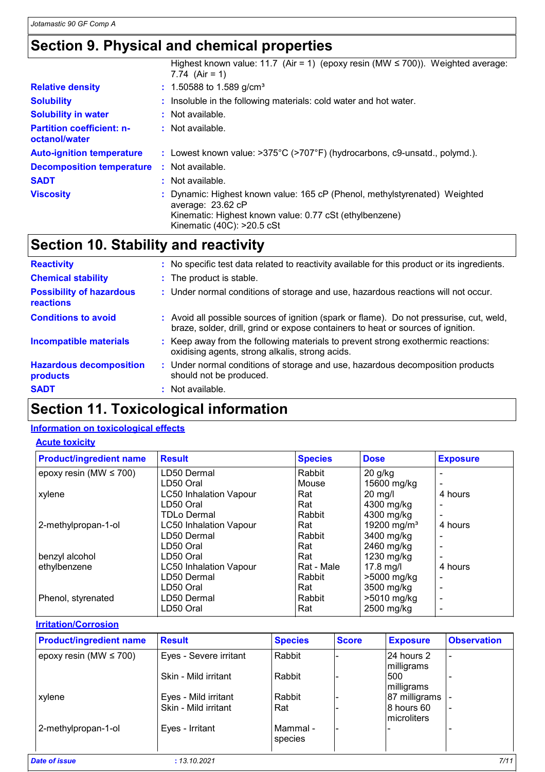### **Section 9. Physical and chemical properties**

|                                                   | Highest known value: 11.7 (Air = 1) (epoxy resin (MW $\leq$ 700)). Weighted average:<br>7.74 $(Air = 1)$                                                                                              |
|---------------------------------------------------|-------------------------------------------------------------------------------------------------------------------------------------------------------------------------------------------------------|
| <b>Relative density</b>                           | $: 1.50588$ to 1.589 g/cm <sup>3</sup>                                                                                                                                                                |
| <b>Solubility</b>                                 | : Insoluble in the following materials: cold water and hot water.                                                                                                                                     |
| <b>Solubility in water</b>                        | : Not available.                                                                                                                                                                                      |
| <b>Partition coefficient: n-</b><br>octanol/water | $\therefore$ Not available.                                                                                                                                                                           |
| <b>Auto-ignition temperature</b>                  | : Lowest known value: >375°C (>707°F) (hydrocarbons, c9-unsatd., polymd.).                                                                                                                            |
| <b>Decomposition temperature</b>                  | : Not available.                                                                                                                                                                                      |
| <b>SADT</b>                                       | : Not available.                                                                                                                                                                                      |
| <b>Viscosity</b>                                  | : Dynamic: Highest known value: 165 cP (Phenol, methylstyrenated) Weighted<br>average: 23.62 cP<br>Kinematic: Highest known value: 0.77 cSt (ethylbenzene)<br>Kinematic $(40C)$ : $>20.5 \text{ cSt}$ |

# **Section 10. Stability and reactivity**

| <b>Reactivity</b>                            | : No specific test data related to reactivity available for this product or its ingredients.                                                                                 |  |
|----------------------------------------------|------------------------------------------------------------------------------------------------------------------------------------------------------------------------------|--|
| <b>Chemical stability</b>                    | : The product is stable.                                                                                                                                                     |  |
| <b>Possibility of hazardous</b><br>reactions | : Under normal conditions of storage and use, hazardous reactions will not occur.                                                                                            |  |
| <b>Conditions to avoid</b>                   | : Avoid all possible sources of ignition (spark or flame). Do not pressurise, cut, weld,<br>braze, solder, drill, grind or expose containers to heat or sources of ignition. |  |
| <b>Incompatible materials</b>                | : Keep away from the following materials to prevent strong exothermic reactions:<br>oxidising agents, strong alkalis, strong acids.                                          |  |
| <b>Hazardous decomposition</b><br>products   | : Under normal conditions of storage and use, hazardous decomposition products<br>should not be produced.                                                                    |  |
| <b>SADT</b>                                  | $\therefore$ Not available.                                                                                                                                                  |  |

# **Section 11. Toxicological information**

#### **Information on toxicological effects**

#### **Acute toxicity**

| <b>Product/ingredient name</b> | <b>Result</b>                 | <b>Species</b> | <b>Dose</b>             | <b>Exposure</b>          |
|--------------------------------|-------------------------------|----------------|-------------------------|--------------------------|
| epoxy resin (MW $\leq$ 700)    | LD50 Dermal                   | Rabbit         | $20$ g/kg               |                          |
|                                | LD50 Oral                     | Mouse          | 15600 mg/kg             |                          |
| xylene                         | <b>LC50 Inhalation Vapour</b> | Rat            | $20 \text{ mg/l}$       | 4 hours                  |
|                                | LD50 Oral                     | Rat            | 4300 mg/kg              |                          |
|                                | <b>TDLo Dermal</b>            | Rabbit         | 4300 mg/kg              |                          |
| 2-methylpropan-1-ol            | <b>LC50 Inhalation Vapour</b> | Rat            | 19200 mg/m <sup>3</sup> | 4 hours                  |
|                                | LD50 Dermal                   | Rabbit         | 3400 mg/kg              |                          |
|                                | LD50 Oral                     | Rat            | 2460 mg/kg              |                          |
| benzyl alcohol                 | LD50 Oral                     | Rat            | 1230 mg/kg              | $\overline{\phantom{0}}$ |
| ethylbenzene                   | <b>LC50 Inhalation Vapour</b> | Rat - Male     | $17.8$ mg/l             | 4 hours                  |
|                                | LD50 Dermal                   | Rabbit         | >5000 mg/kg             |                          |
|                                | LD50 Oral                     | Rat            | 3500 mg/kg              |                          |
| Phenol, styrenated             | LD50 Dermal                   | Rabbit         | >5010 mg/kg             |                          |
|                                | LD50 Oral                     | Rat            | 2500 mg/kg              |                          |

#### **Irritation/Corrosion**

| <b>Product/ingredient name</b> | <b>Result</b>          | <b>Species</b>      | <b>Score</b> | <b>Exposure</b>                   | <b>Observation</b> |
|--------------------------------|------------------------|---------------------|--------------|-----------------------------------|--------------------|
| epoxy resin (MW $\leq$ 700)    | Eyes - Severe irritant | Rabbit              |              | 24 hours 2<br>milligrams          |                    |
|                                | Skin - Mild irritant   | Rabbit              |              | 500<br>milligrams                 |                    |
| xylene                         | Eyes - Mild irritant   | Rabbit              |              | 87 milligrams                     |                    |
|                                | Skin - Mild irritant   | Rat                 |              | 8 hours 60<br><i>Imicroliters</i> |                    |
| 2-methylpropan-1-ol            | Eyes - Irritant        | Mammal -<br>species |              |                                   |                    |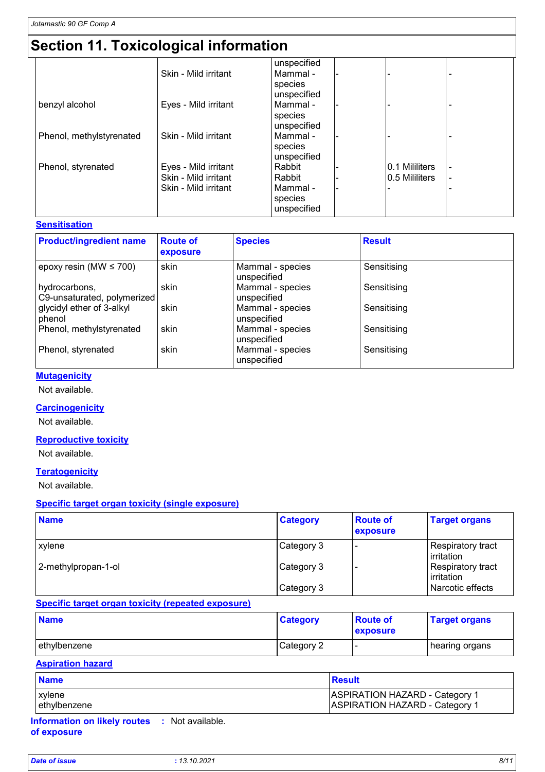# **Section 11. Toxicological information**

|                          |                      | unspecified |                |  |
|--------------------------|----------------------|-------------|----------------|--|
|                          | Skin - Mild irritant | Mammal -    |                |  |
|                          |                      | species     |                |  |
|                          |                      | unspecified |                |  |
| benzyl alcohol           | Eyes - Mild irritant | Mammal -    |                |  |
|                          |                      | species     |                |  |
|                          |                      | unspecified |                |  |
| Phenol, methylstyrenated | Skin - Mild irritant | Mammal -    |                |  |
|                          |                      | species     |                |  |
|                          |                      | unspecified |                |  |
| Phenol, styrenated       | Eyes - Mild irritant | Rabbit      | 0.1 Mililiters |  |
|                          | Skin - Mild irritant | Rabbit      | 0.5 Mililiters |  |
|                          | Skin - Mild irritant | Mammal -    |                |  |
|                          |                      | species     |                |  |
|                          |                      | unspecified |                |  |

#### **Sensitisation**

| <b>Product/ingredient name</b>               | <b>Route of</b><br>exposure | <b>Species</b>                  | <b>Result</b> |
|----------------------------------------------|-----------------------------|---------------------------------|---------------|
| epoxy resin (MW $\leq$ 700)                  | skin                        | Mammal - species<br>unspecified | Sensitising   |
| hydrocarbons,<br>C9-unsaturated, polymerized | skin                        | Mammal - species<br>unspecified | Sensitising   |
| glycidyl ether of 3-alkyl<br>phenol          | skin                        | Mammal - species<br>unspecified | Sensitising   |
| Phenol, methylstyrenated                     | skin                        | Mammal - species<br>unspecified | Sensitising   |
| Phenol, styrenated                           | skin                        | Mammal - species<br>unspecified | Sensitising   |

#### **Mutagenicity**

Not available.

#### **Carcinogenicity**

Not available.

#### **Reproductive toxicity**

Not available.

#### **Teratogenicity**

Not available.

#### **Specific target organ toxicity (single exposure)**

| <b>Name</b>         | <b>Category</b> | <b>Route of</b><br>exposure | <b>Target organs</b>            |
|---------------------|-----------------|-----------------------------|---------------------------------|
| <b>xylene</b>       | Category 3      |                             | Respiratory tract<br>irritation |
| 2-methylpropan-1-ol | Category 3      |                             | Respiratory tract<br>irritation |
|                     | Category 3      |                             | Narcotic effects                |

#### **Specific target organ toxicity (repeated exposure)**

| <b>Name</b>  | <b>Category</b> | <b>Route of</b><br>exposure | <b>Target organs</b> |
|--------------|-----------------|-----------------------------|----------------------|
| ethylbenzene | Category 2      |                             | hearing organs       |

#### **Aspiration hazard**

| <b>Name</b>   | <b>Result</b>                         |
|---------------|---------------------------------------|
| <b>xylene</b> | <b>ASPIRATION HAZARD - Category 1</b> |
| ethylbenzene  | <b>ASPIRATION HAZARD - Category 1</b> |

**Information on likely routes :** Not available. **of exposure**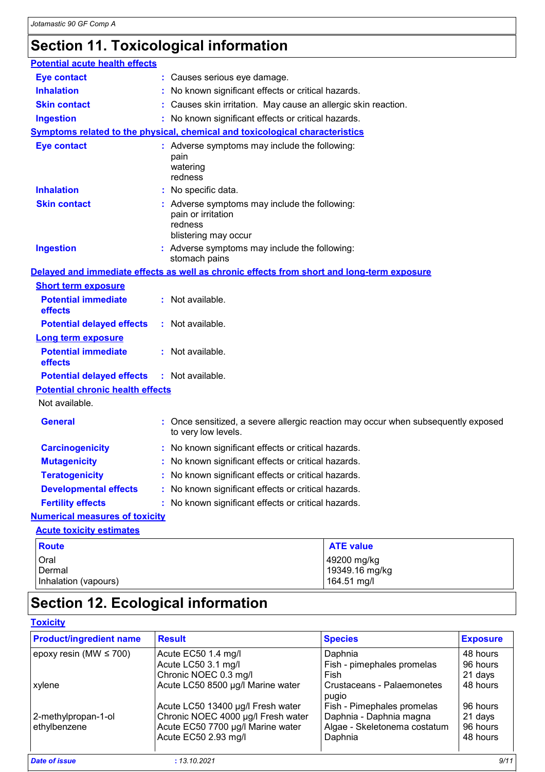# **Section 11. Toxicological information**

| <b>Potential acute health effects</b>   |                                                                                                                                                         |  |  |
|-----------------------------------------|---------------------------------------------------------------------------------------------------------------------------------------------------------|--|--|
| <b>Eye contact</b>                      | : Causes serious eye damage.                                                                                                                            |  |  |
| <b>Inhalation</b>                       | : No known significant effects or critical hazards.                                                                                                     |  |  |
| <b>Skin contact</b>                     | : Causes skin irritation. May cause an allergic skin reaction.                                                                                          |  |  |
| <b>Ingestion</b>                        | : No known significant effects or critical hazards.                                                                                                     |  |  |
|                                         | <b>Symptoms related to the physical, chemical and toxicological characteristics</b>                                                                     |  |  |
| <b>Eye contact</b>                      | : Adverse symptoms may include the following:<br>pain<br>watering<br>redness                                                                            |  |  |
| <b>Inhalation</b>                       | : No specific data.                                                                                                                                     |  |  |
| <b>Skin contact</b><br><b>Ingestion</b> | : Adverse symptoms may include the following:<br>pain or irritation<br>redness<br>blistering may occur<br>: Adverse symptoms may include the following: |  |  |
|                                         | stomach pains                                                                                                                                           |  |  |
|                                         | Delayed and immediate effects as well as chronic effects from short and long-term exposure                                                              |  |  |
| <b>Short term exposure</b>              |                                                                                                                                                         |  |  |
| <b>Potential immediate</b><br>effects   | : Not available.                                                                                                                                        |  |  |
| <b>Potential delayed effects</b>        | : Not available.                                                                                                                                        |  |  |
| <b>Long term exposure</b>               |                                                                                                                                                         |  |  |
| <b>Potential immediate</b><br>effects   | : Not available.                                                                                                                                        |  |  |
| <b>Potential delayed effects</b>        | : Not available.                                                                                                                                        |  |  |
| <b>Potential chronic health effects</b> |                                                                                                                                                         |  |  |
| Not available.                          |                                                                                                                                                         |  |  |
| <b>General</b>                          | : Once sensitized, a severe allergic reaction may occur when subsequently exposed<br>to very low levels.                                                |  |  |
| <b>Carcinogenicity</b>                  | : No known significant effects or critical hazards.                                                                                                     |  |  |
| <b>Mutagenicity</b>                     | : No known significant effects or critical hazards.                                                                                                     |  |  |
| <b>Teratogenicity</b>                   | : No known significant effects or critical hazards.                                                                                                     |  |  |
| <b>Developmental effects</b>            | : No known significant effects or critical hazards.                                                                                                     |  |  |
| <b>Fertility effects</b>                | : No known significant effects or critical hazards.                                                                                                     |  |  |
| <b>Numerical measures of toxicity</b>   |                                                                                                                                                         |  |  |
| <b>Acute toxicity estimates</b>         |                                                                                                                                                         |  |  |
| <b>Route</b>                            | <b>ATE value</b>                                                                                                                                        |  |  |
| Oral<br>Dermal<br>Inhalation (vapours)  | 49200 mg/kg<br>19349.16 mg/kg<br>164.51 mg/l                                                                                                            |  |  |

# **Section 12. Ecological information**

#### **Toxicity**

| <b>Product/ingredient name</b> | <b>Result</b>                      | <b>Species</b>               | <b>Exposure</b> |
|--------------------------------|------------------------------------|------------------------------|-----------------|
| epoxy resin (MW $\leq$ 700)    | Acute EC50 1.4 mg/l                | Daphnia                      | 48 hours        |
|                                | Acute LC50 3.1 mg/l                | Fish - pimephales promelas   | 96 hours        |
|                                | Chronic NOEC 0.3 mg/l              | Fish                         | 21 days         |
| xylene                         | Acute LC50 8500 µg/l Marine water  | Crustaceans - Palaemonetes   | 48 hours        |
|                                |                                    | pugio                        |                 |
|                                | Acute LC50 13400 µg/l Fresh water  | Fish - Pimephales promelas   | 96 hours        |
| 2-methylpropan-1-ol            | Chronic NOEC 4000 µg/l Fresh water | Daphnia - Daphnia magna      | 21 days         |
| ethylbenzene                   | Acute EC50 7700 µg/l Marine water  | Algae - Skeletonema costatum | 96 hours        |
|                                | Acute EC50 2.93 mg/l               | Daphnia                      | 48 hours        |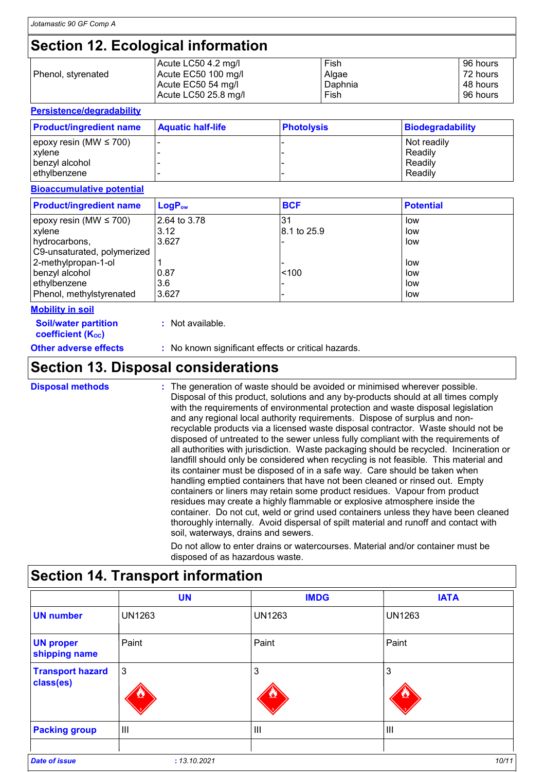## **Section 12. Ecological information**

|                    | Acute LC50 4.2 mg/l  | Fish    | 96 hours |
|--------------------|----------------------|---------|----------|
| Phenol, styrenated | Acute EC50 100 mg/l  | Algae   | 72 hours |
|                    | Acute EC50 54 mg/l   | Daphnia | 48 hours |
|                    | Acute LC50 25.8 mg/l | Fish    | 96 hours |

| <b>Persistence/degradability</b>             |                          |                   |                         |
|----------------------------------------------|--------------------------|-------------------|-------------------------|
| <b>Product/ingredient name</b>               | <b>Aquatic half-life</b> | <b>Photolysis</b> | <b>Biodegradability</b> |
| epoxy resin (MW $\leq$ 700)<br><b>xylene</b> |                          |                   | Not readily<br>Readily  |
| benzyl alcohol                               |                          |                   | Readily                 |
| ethylbenzene                                 |                          |                   | Readily                 |

#### **Bioaccumulative potential**

| <b>Product/ingredient name</b> | $LogP_{ow}$  | <b>BCF</b>  | <b>Potential</b> |
|--------------------------------|--------------|-------------|------------------|
| epoxy resin (MW $\leq$ 700)    | 2.64 to 3.78 |             | low              |
| xylene                         | 3.12         | 8.1 to 25.9 | low              |
| hydrocarbons,                  | 3.627        |             | low              |
| C9-unsaturated, polymerized    |              |             |                  |
| 2-methylpropan-1-ol            |              |             | low              |
| benzyl alcohol                 | 0.87         | < 100       | low              |
| ethylbenzene                   | 3.6          |             | low              |
| Phenol, methylstyrenated       | 3.627        |             | low              |

#### **Mobility in soil**

**:** Not available.

**Soil/water partition coefficient (KOC)**

**Other adverse effects :** No known significant effects or critical hazards.

### **Section 13. Disposal considerations**

The generation of waste should be avoided or minimised wherever possible. Disposal of this product, solutions and any by-products should at all times comply with the requirements of environmental protection and waste disposal legislation and any regional local authority requirements. Dispose of surplus and nonrecyclable products via a licensed waste disposal contractor. Waste should not be disposed of untreated to the sewer unless fully compliant with the requirements of all authorities with jurisdiction. Waste packaging should be recycled. Incineration or landfill should only be considered when recycling is not feasible. This material and its container must be disposed of in a safe way. Care should be taken when handling emptied containers that have not been cleaned or rinsed out. Empty containers or liners may retain some product residues. Vapour from product residues may create a highly flammable or explosive atmosphere inside the container. Do not cut, weld or grind used containers unless they have been cleaned thoroughly internally. Avoid dispersal of spilt material and runoff and contact with soil, waterways, drains and sewers. **Disposal methods :**

Do not allow to enter drains or watercourses. Material and/or container must be disposed of as hazardous waste.

| <b>UN</b>     | <b>IMDG</b>   | <b>IATA</b>    |
|---------------|---------------|----------------|
| <b>UN1263</b> | <b>UN1263</b> | <b>UN1263</b>  |
| Paint         | Paint         | Paint          |
| 3             | 3             | 3              |
| Ш             | Ш             | $\mathbf{III}$ |
|               |               |                |

### **Section 14. Transport information**